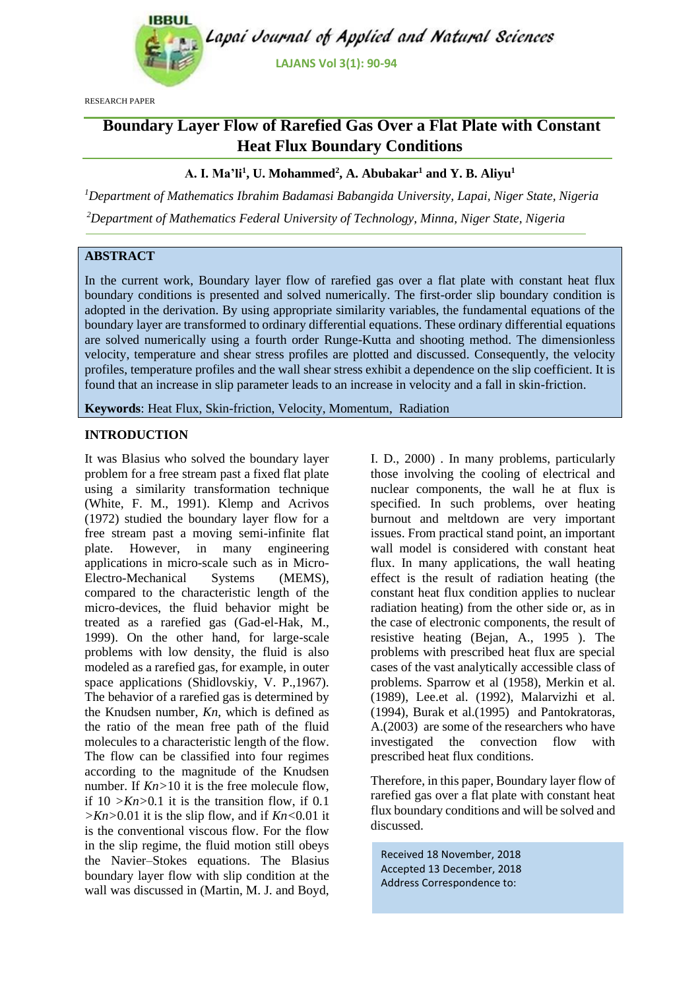

RESEARCH PAPER

# **Boundary Layer Flow of Rarefied Gas Over a Flat Plate with Constant Heat Flux Boundary Conditions**

# **A. I. Ma'li<sup>1</sup> , U. Mohammed<sup>2</sup> , A. Abubakar<sup>1</sup> and Y. B. Aliyu<sup>1</sup>**

*<sup>1</sup>Department of Mathematics Ibrahim Badamasi Babangida University, Lapai, Niger State, Nigeria*

*<sup>2</sup>Department of Mathematics Federal University of Technology, Minna, Niger State, Nigeria*

# **ABSTRACT**

In the current work, Boundary layer flow of rarefied gas over a flat plate with constant heat flux boundary conditions is presented and solved numerically. The first-order slip boundary condition is adopted in the derivation. By using appropriate similarity variables, the fundamental equations of the boundary layer are transformed to ordinary differential equations. These ordinary differential equations are solved numerically using a fourth order Runge-Kutta and shooting method. The dimensionless velocity, temperature and shear stress profiles are plotted and discussed. Consequently, the velocity profiles, temperature profiles and the wall shear stress exhibit a dependence on the slip coefficient. It is found that an increase in slip parameter leads to an increase in velocity and a fall in skin-friction.

**Keywords**: Heat Flux, Skin-friction, Velocity, Momentum, Radiation

# **INTRODUCTION**

It was Blasius who solved the boundary layer problem for a free stream past a fixed flat plate using a similarity transformation technique (White, F. M., 1991). Klemp and Acrivos (1972) studied the boundary layer flow for a free stream past a moving semi-infinite flat plate. However, in many engineering applications in micro-scale such as in Micro-Electro-Mechanical Systems (MEMS), compared to the characteristic length of the micro-devices, the fluid behavior might be treated as a rarefied gas (Gad-el-Hak, M., 1999). On the other hand, for large-scale problems with low density, the fluid is also modeled as a rarefied gas, for example, in outer space applications (Shidlovskiy, V. P.,1967). The behavior of a rarefied gas is determined by the Knudsen number, *Kn*, which is defined as the ratio of the mean free path of the fluid molecules to a characteristic length of the flow. The flow can be classified into four regimes according to the magnitude of the Knudsen number. If  $Kn>10$  it is the free molecule flow, if  $10 \frac{>Kn>0.1}$  it is the transition flow, if 0.1  $>$ *Kn* $>$ 0*.*01 it is the slip flow, and if *Kn*<0*.*01 it is the conventional viscous flow. For the flow in the slip regime, the fluid motion still obeys the Navier–Stokes equations. The Blasius boundary layer flow with slip condition at the wall was discussed in (Martin, M. J. and Boyd,

I. D., 2000) . In many problems, particularly those involving the cooling of electrical and nuclear components, the wall he at flux is specified. In such problems, over heating burnout and meltdown are very important issues. From practical stand point, an important wall model is considered with constant heat flux. In many applications, the wall heating effect is the result of radiation heating (the constant heat flux condition applies to nuclear radiation heating) from the other side or, as in the case of electronic components, the result of resistive heating (Bejan, A., 1995 ). The problems with prescribed heat flux are special cases of the vast analytically accessible class of problems. Sparrow et al (1958), Merkin et al. (1989), Lee.et al. (1992), Malarvizhi et al. (1994), Burak et al.(1995) and Pantokratoras, A.(2003) are some of the researchers who have investigated the convection flow with prescribed heat flux conditions.

Therefore, in this paper, Boundary layer flow of rarefied gas over a flat plate with constant heat flux boundary conditions and will be solved and discussed.

Received 18 November, 2018 Accepted 13 December, 2018 Address Correspondence to: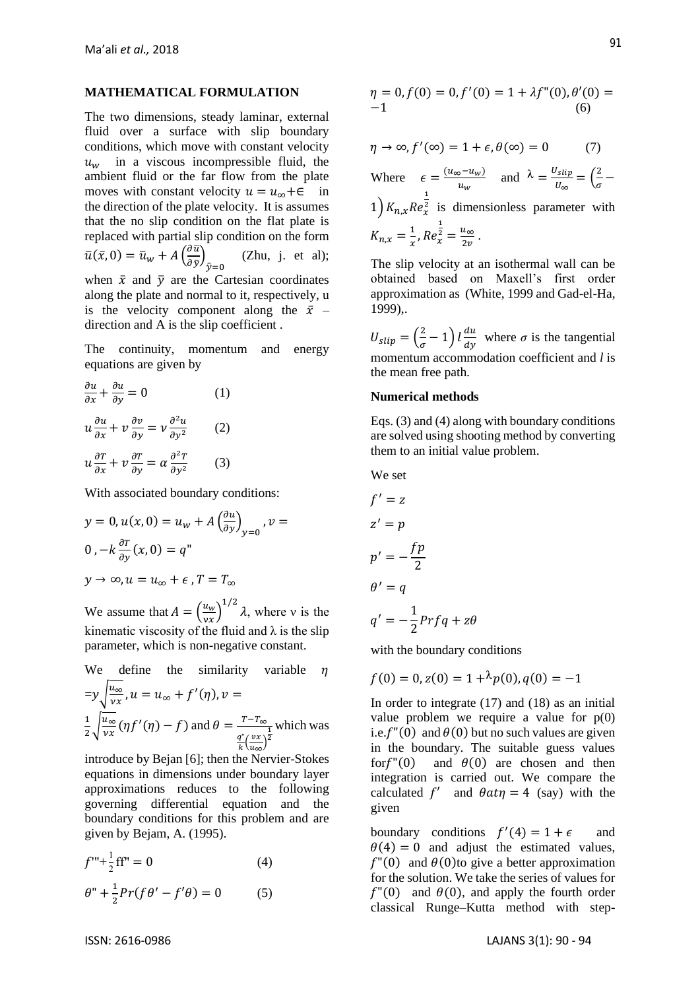#### **MATHEMATICAL FORMULATION**

The two dimensions, steady laminar, external fluid over a surface with slip boundary conditions, which move with constant velocity  $u_w$  in a viscous incompressible fluid, the ambient fluid or the far flow from the plate moves with constant velocity  $u = u_{\infty} + \epsilon$  in the direction of the plate velocity. It is assumes that the no slip condition on the flat plate is replaced with partial slip condition on the form  $\bar{u}(\bar{x},0) = \bar{u}_w + A\left(\frac{\partial \bar{u}}{\partial \bar{v}}\right)$  $\frac{\partial u}{\partial \bar{y}}$  $\hat{y}=0$  (Zhu, j. et al); when  $\bar{x}$  and  $\bar{y}$  are the Cartesian coordinates along the plate and normal to it, respectively, u is the velocity component along the  $\bar{x}$  – direction and A is the slip coefficient .

The continuity, momentum and energy equations are given by

$$
\frac{\partial u}{\partial x} + \frac{\partial u}{\partial y} = 0 \qquad (1)
$$
  

$$
u \frac{\partial u}{\partial x} + v \frac{\partial v}{\partial y} = v \frac{\partial^2 u}{\partial y^2} \qquad (2)
$$
  

$$
u \frac{\partial T}{\partial x} + v \frac{\partial T}{\partial y} = \alpha \frac{\partial^2 T}{\partial y^2} \qquad (3)
$$

With associated boundary conditions:

$$
y = 0, u(x, 0) = u_w + A \left(\frac{\partial u}{\partial y}\right)_{y=0}, v = 0, -k \frac{\partial T}{\partial y}(x, 0) = q^w
$$
  

$$
y \to \infty, u = u_\infty + \epsilon, T = T_\infty
$$

We assume that  $A = \left(\frac{u_w}{u_w}\right)^2$  $\left(\frac{u_w}{v_x}\right)^{1/2} \lambda$ , where v is the kinematic viscosity of the fluid and  $\lambda$  is the slip parameter, which is non-negative constant.

We define the similarity variable 
$$
\eta
$$
  
\n
$$
=y\sqrt{\frac{u_{\infty}}{vx}}, u = u_{\infty} + f'(\eta), v =
$$
\n
$$
\frac{1}{2}\sqrt{\frac{u_{\infty}}{vx}}(\eta f'(\eta) - f) \text{ and } \theta = \frac{T - T_{\infty}}{\frac{q^{v}}{k}(\frac{vx}{u_{\infty}})^{\frac{1}{2}}}
$$
 which was

introduce by Bejan [6]; then the Nervier-Stokes equations in dimensions under boundary layer approximations reduces to the following governing differential equation and the boundary conditions for this problem and are given by Bejam, A. (1995).

$$
f''' + \frac{1}{2}ff'' = 0
$$
 (4)

$$
\theta'' + \frac{1}{2}Pr(f\theta' - f'\theta) = 0 \tag{5}
$$

$$
\eta = 0, f(0) = 0, f'(0) = 1 + \lambda f''(0), \theta'(0) = -1
$$
\n(6)

$$
\eta \to \infty, f'(\infty) = 1 + \epsilon, \theta(\infty) = 0 \tag{7}
$$

Where  $\epsilon = \frac{(u_{\infty} - u_w)}{n}$  $rac{\delta u_w}{u_w}$  and  $\lambda = \frac{U_{slip}}{U_{\infty}}$  $\frac{J_{slip}}{U_{\infty}} = \left(\frac{2}{\sigma}\right)$  $\frac{2}{\sigma}$  –  $1\int K_{n,x}Re_x^2$ 1  $\frac{2}{x}$  is dimensionless parameter with  $K_{n,x}=\frac{1}{x}$  $\frac{1}{x}$ ,  $Re_x^2$ 1  $\frac{z}{x} = \frac{u_{\infty}}{2x}$  $\frac{u_{\infty}}{2v}$ .

The slip velocity at an isothermal wall can be obtained based on Maxell's first order approximation as (White, 1999 and Gad-el-Ha, 1999),.

 $U_{slip} = \left(\frac{2}{a}\right)$  $\left(\frac{2}{\sigma}-1\right)$   $l\frac{du}{dy}$  $\frac{du}{dy}$  where  $\sigma$  is the tangential momentum accommodation coefficient and *l* is the mean free path.

#### **Numerical methods**

Eqs. (3) and (4) along with boundary conditions are solved using shooting method by converting them to an initial value problem.

We set

$$
f' = z
$$
  
\n
$$
z' = p
$$
  
\n
$$
p' = -\frac{fp}{2}
$$
  
\n
$$
\theta' = q
$$
  
\n
$$
q' = -\frac{1}{2} Pr f q + z \theta
$$

with the boundary conditions

$$
f(0) = 0, z(0) = 1 + \lambda p(0), q(0) = -1
$$

In order to integrate (17) and (18) as an initial value problem we require a value for  $p(0)$ i.e.  $f''(0)$  and  $\theta(0)$  but no such values are given in the boundary. The suitable guess values for  $f''(0)$  and  $\theta(0)$  are chosen and then integration is carried out. We compare the calculated f' and  $\theta a t \eta = 4$  (say) with the given

boundary conditions  $f'(4) = 1 + \epsilon$  and  $\theta(4) = 0$  and adjust the estimated values,  $f''(0)$  and  $\theta(0)$ to give a better approximation for the solution. We take the series of values for  $f''(0)$  and  $\theta(0)$ , and apply the fourth order classical Runge–Kutta method with step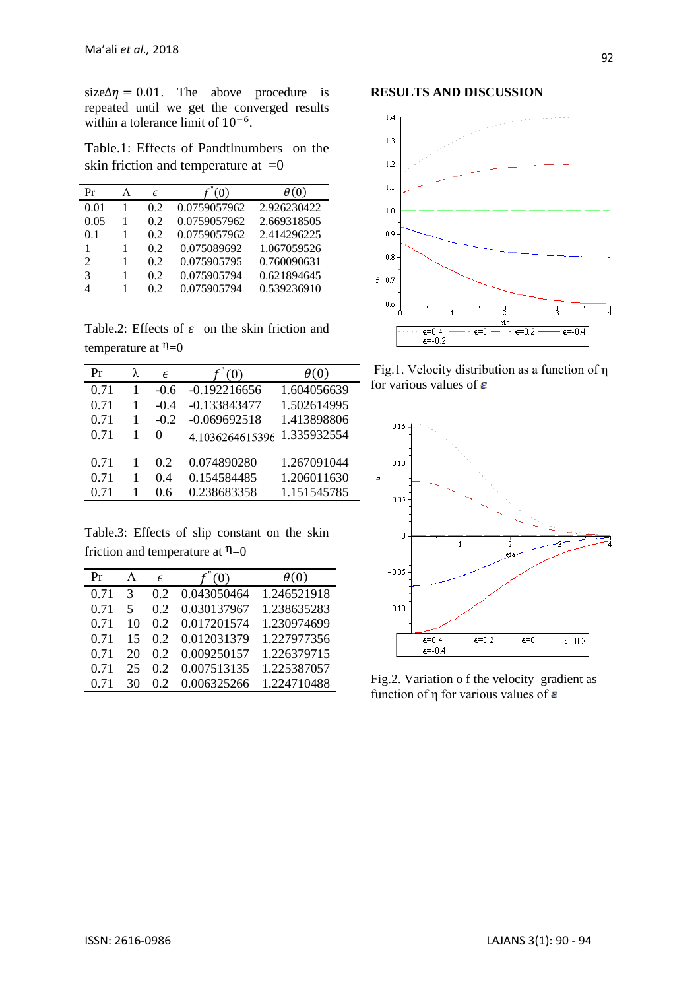size $\Delta \eta = 0.01$ . The above procedure is repeated until we get the converged results within a tolerance limit of 10<sup>-6</sup>.

Table.1: Effects of Pandtlnumbers on the skin friction and temperature at  $=0$ 

| Pr                          | л | F   | (0)          | $\theta(0)$ |
|-----------------------------|---|-----|--------------|-------------|
| 0.01                        |   | 0.2 | 0.0759057962 | 2.926230422 |
| 0.05                        |   | 0.2 | 0.0759057962 | 2.669318505 |
| 0.1                         |   | 0.2 | 0.0759057962 | 2.414296225 |
| 1                           |   | 0.2 | 0.075089692  | 1.067059526 |
| $\mathcal{D}_{\mathcal{L}}$ |   | 0.2 | 0.075905795  | 0.760090631 |
| 3                           |   | 0.2 | 0.075905794  | 0.621894645 |
| 4                           |   | 02  | 0.075905794  | 0.539236910 |
|                             |   |     |              |             |

Table.2: Effects of  $\varepsilon$  on the skin friction and temperature at  $\eta=0$ 

| Pr   | λ | E        | (0)             | $\theta(0)$ |
|------|---|----------|-----------------|-------------|
| 0.71 | 1 | $-0.6$   | $-0.192216656$  | 1.604056639 |
| 0.71 | 1 | $-0.4$   | $-0.133843477$  | 1.502614995 |
| 0.71 | 1 | $-0.2$   | $-0.069692518$  | 1.413898806 |
| 0.71 | 1 | $\Omega$ | 4.1036264615396 | 1.335932554 |
| 0.71 | 1 | 0.2      | 0.074890280     | 1.267091044 |
| 0.71 | 1 | 0.4      | 0.154584485     | 1.206011630 |
| 0.71 | 1 | 0.6      | 0.238683358     | 1.151545785 |

Table.3: Effects of slip constant on the skin friction and temperature at  $\eta=0$ 

| Pr   |    | F  | f''(0)      | $\theta(0)$ |
|------|----|----|-------------|-------------|
| 0.71 | 3  | 02 | 0.043050464 | 1.246521918 |
| 0.71 | 5  | 02 | 0.030137967 | 1.238635283 |
| 0.71 | 10 | 02 | 0.017201574 | 1.230974699 |
| 0.71 | 15 | 02 | 0.012031379 | 1.227977356 |
| 0.71 | 20 | 02 | 0.009250157 | 1.226379715 |
| 0.71 | 25 | 02 | 0.007513135 | 1.225387057 |
| 0.71 | 30 | 02 | 0.006325266 | 1.224710488 |
|      |    |    |             |             |

## **RESULTS AND DISCUSSION**



Fig.1. Velocity distribution as a function of η for various values of  $\varepsilon$ 



Fig.2. Variation o f the velocity gradient as function of  $\eta$  for various values of  $\varepsilon$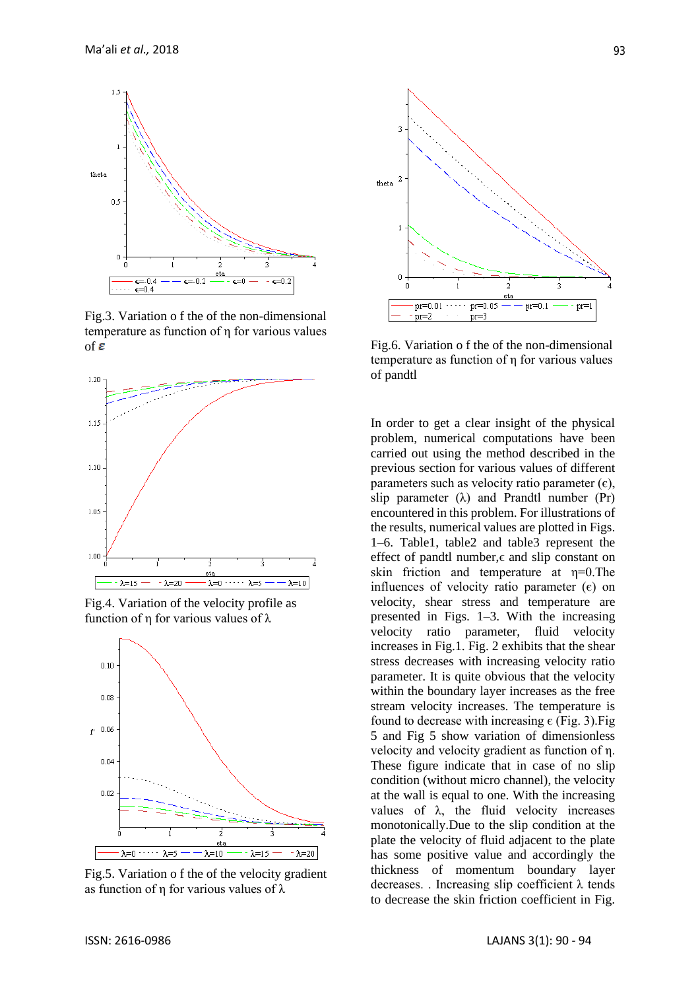

Fig.3. Variation o f the of the non-dimensional temperature as function of η for various values of  $\boldsymbol{\varepsilon}$ 



Fig.4. Variation of the velocity profile as function of η for various values of λ



Fig.5. Variation o f the of the velocity gradient as function of η for various values of λ



Fig.6. Variation o f the of the non-dimensional temperature as function of η for various values of pandtl

In order to get a clear insight of the physical problem, numerical computations have been carried out using the method described in the previous section for various values of different parameters such as velocity ratio parameter  $(\epsilon)$ , slip parameter  $(\lambda)$  and Prandtl number (Pr) encountered in this problem. For illustrations of the results, numerical values are plotted in Figs. 1–6. Table1, table2 and table3 represent the effect of pandtl number, $\epsilon$  and slip constant on skin friction and temperature at  $\eta=0$ . The influences of velocity ratio parameter  $(\epsilon)$  on velocity, shear stress and temperature are presented in Figs. 1–3. With the increasing velocity ratio parameter, fluid velocity increases in Fig.1. Fig. 2 exhibits that the shear stress decreases with increasing velocity ratio parameter. It is quite obvious that the velocity within the boundary layer increases as the free stream velocity increases. The temperature is found to decrease with increasing  $\epsilon$  (Fig. 3). Fig. 5 and Fig 5 show variation of dimensionless velocity and velocity gradient as function of η. These figure indicate that in case of no slip condition (without micro channel), the velocity at the wall is equal to one. With the increasing values of  $\lambda$ , the fluid velocity increases monotonically.Due to the slip condition at the plate the velocity of fluid adjacent to the plate has some positive value and accordingly the thickness of momentum boundary layer decreases. . Increasing slip coefficient λ tends to decrease the skin friction coefficient in Fig.